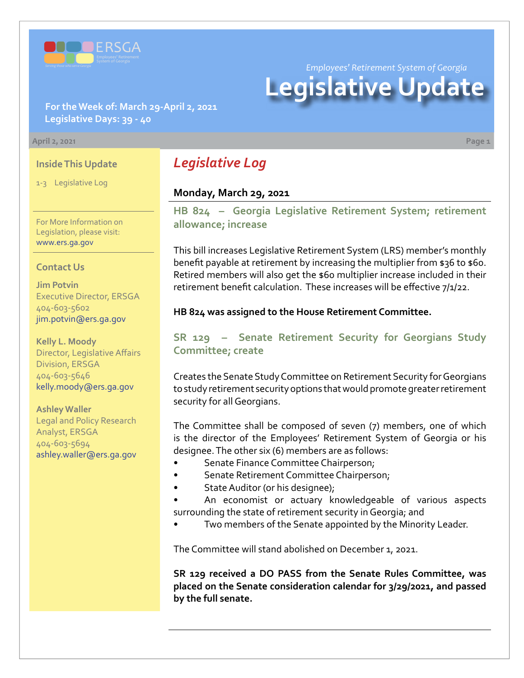

*Employees' Retirement System of Georgia*

# **Legislative Update**

**For the Week of: March 29-April 2, 2021 Legislative Days: 39 - 40**

#### **April 2, 2021 Page 1**

#### **Inside This Update**

1-3 Legislative Log

For More Information on Legislation, please visit: [www.ers.ga.gov](http://www.ers.ga.gov/default.aspx)

#### **Contact Us**

**Jim Potvin** Executive Director, ERSGA 404-603-5602 jim.potvin@ers.ga.gov

**Kelly L. Moody** Director, Legislative Affairs Division, ERSGA 404-603-5646 kelly.moody@ers.ga.gov

**Ashley Waller** Legal and Policy Research Analyst, ERSGA 404-603-5694 ashley.waller@ers.ga.gov

# *Legislative Log*

#### **Monday, March 29, 2021**

**[HB 824 – Georgia Legislative Retirement System; retirement](https://www.legis.ga.gov/legislation/60709)  allowance; increase**

This bill increases Legislative Retirement System (LRS) member's monthly benefit payable at retirement by increasing the multiplier from \$36 to \$60. Retired members will also get the \$60 multiplier increase included in their retirement benefit calculation. These increases will be effective 7/1/22.

**HB 824 was assigned to the House Retirement Committee.**

**[SR 129 – Senate Retirement Security for Georgians Study](https://www.legis.ga.gov/legislation/59849)  Committee; create**

Creates the Senate Study Committee on Retirement Security for Georgians to study retirement security options that would promote greater retirement security for all Georgians.

The Committee shall be composed of seven (7) members, one of which is the director of the Employees' Retirement System of Georgia or his designee. The other six (6) members are as follows:

- Senate Finance Committee Chairperson;
- Senate Retirement Committee Chairperson;
- State Auditor (or his designee);
- An economist or actuary knowledgeable of various aspects surrounding the state of retirement security in Georgia; and
- Two members of the Senate appointed by the Minority Leader.

The Committee will stand abolished on December 1, 2021.

**SR 129 received a DO PASS from the Senate Rules Committee, was placed on the Senate consideration calendar for 3/29/2021, and passed by the full senate.**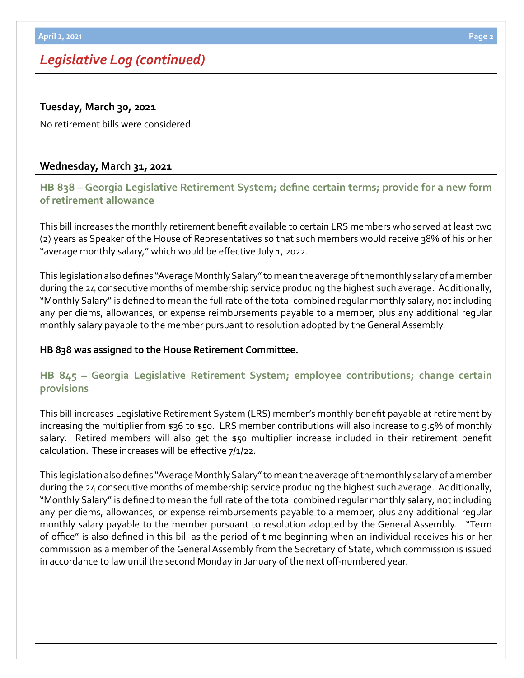# *Legislative Log (continued)*

### **Tuesday, March 30, 2021**

No retirement bills were considered.

## **Wednesday, March 31, 2021**

## **[HB 838](https://www.legis.ga.gov/legislation/60801) – [Georgia Legislative Retirement System; define certain terms; provide for a new form](https://www.legis.ga.gov/legislation/60801)  of retirement allowance**

This bill increases the monthly retirement benefit available to certain LRS members who served at least two (2) years as Speaker of the House of Representatives so that such members would receive 38% of his or her "average monthly salary," which would be effective July 1, 2022.

This legislation also defines "Average Monthly Salary" to mean the average of the monthly salary of a member during the 24 consecutive months of membership service producing the highest such average. Additionally, "Monthly Salary" is defined to mean the full rate of the total combined regular monthly salary, not including any per diems, allowances, or expense reimbursements payable to a member, plus any additional regular monthly salary payable to the member pursuant to resolution adopted by the General Assembly.

#### **HB 838 was assigned to the House Retirement Committee.**

## **[HB 845](https://www.legis.ga.gov/legislation/60861) – [Georgia Legislative Retirement System; employee contributions; change certain](https://www.legis.ga.gov/legislation/60861)  provisions**

This bill increases Legislative Retirement System (LRS) member's monthly benefit payable at retirement by increasing the multiplier from \$36 to \$50. LRS member contributions will also increase to 9.5% of monthly salary. Retired members will also get the \$50 multiplier increase included in their retirement benefit calculation. These increases will be effective 7/1/22.

This legislation also defines "Average Monthly Salary" to mean the average of the monthly salary of a member during the 24 consecutive months of membership service producing the highest such average. Additionally, "Monthly Salary" is defined to mean the full rate of the total combined regular monthly salary, not including any per diems, allowances, or expense reimbursements payable to a member, plus any additional regular monthly salary payable to the member pursuant to resolution adopted by the General Assembly. "Term of office" is also defined in this bill as the period of time beginning when an individual receives his or her commission as a member of the General Assembly from the Secretary of State, which commission is issued in accordance to law until the second Monday in January of the next off-numbered year.